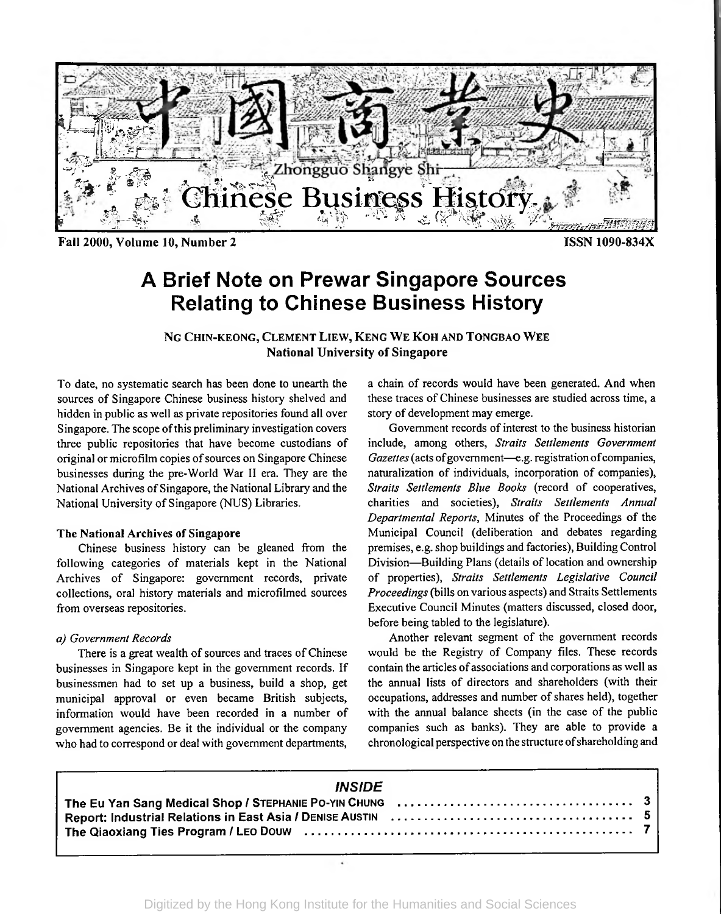

Fall 2000, Volume 10, Number 2 **ISSN** 1090-834X

# A Brief Note on Prewar Singapore Sources Relating to Chinese Business History

N<sup>g</sup> Chin-keong, Clement Liew, Keng We Koh and Tongbao Wee National University of Singapore

To date, no systematic search has been done to unearth the sources of Singapore Chinese business history shelved and hidden in public as well as private repositories found all over Singapore. The scope of this preliminary investigation covers three public repositories that have become custodians of original or microfilm copies ofsources on Singapore Chinese businesses during the pre-World War II era. They are the National Archives of Singapore, the National Library and the National University of Singapore (NUS) Libraries.

#### The National Archives of Singapore

Chinese business history can be gleaned from the following categories of materials kept in the National Archives of Singapore: government records, private collections, oral history materials and microfilmed sources from overseas repositories.

#### *a) Government Records*

There is a great wealth of sources and traces of Chinese businesses in Singapore kept in the government records. If businessmen had to set up a business, build a shop, get municipal approval or even became British subjects, information would have been recorded in a number of government agencies. Be it the individual or the company who had to correspond or deal with government departments,

a chain of records would have been generated. And when these traces of Chinese businesses are studied across time, a story of development may emerge.

Government records of interest to the business historian include, among others, *Straits Settlements Government* Gazettes (acts of government-e.g. registration of companies, naturalization of individuals, incorporation of companies), *Straits Settlements Blue Books* (record of cooperatives, charities and societies), *Straits Settlements Annual Departmental Reports*, Minutes of the Proceedings of the Municipal Council (deliberation and debates regarding premises, e.g. shop buildings and factories), Building Control Division—Building Plans (details of location and ownership of properties), *Straits Settlements Legislative Council Proceedings* (bills on various aspects) and Straits Settlements Executive Council Minutes (matters discussed, closed door, before being tabled to the legislature).

Another relevant segment of the government records would be the Registry of Company files. These records contain the articles of associations and corporations as well as the annual lists of directors and shareholders (with their occupations, addresses and number of shares held), together with the annual balance sheets (in the case of the public companies such as banks). They are able to provide a chronological perspective on the structure ofshareholding and

| <i><b>INSIDE</b></i>                                                                                                                 |  |
|--------------------------------------------------------------------------------------------------------------------------------------|--|
| The Eu Yan Sang Medical Shop / STEPHANIE PO-YIN CHUNG $\ldots \ldots \ldots \ldots \ldots \ldots \ldots \ldots \ldots \ldots \ldots$ |  |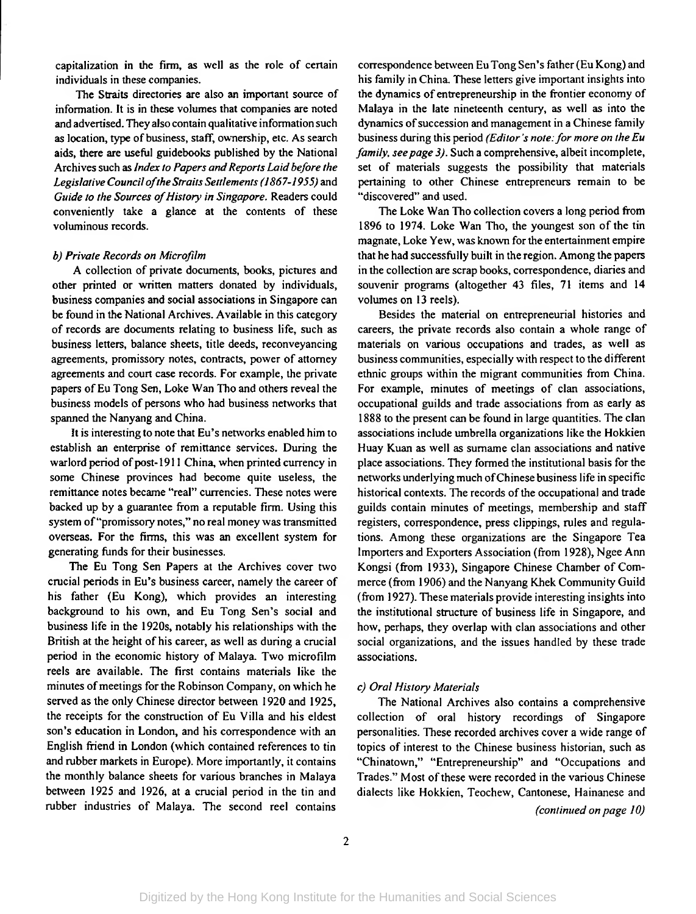capitalization in the firm, as well as the role of certain individuals in these companies.

The Straits directories are also an important source of information. It is in these volumes that companies are noted and advertised. They also contain qualitative information such as location, type of business, staff, ownership, etc. As search aids, there are useful guidebooks published by the National Archives such as *Index* to Papers and Reports Laid before the *Legislative CounciloftheStraits Settlements(1867-1955)* and *Guide to the Sources of History in Singapore.* Readers could conveniently take a glance at the contents of these voluminous records.

#### *b) Private Records on Microfilm*

A collection of private documents, books, pictures and other printed or written matters donated by individuals, business companies and social associations in Singapore can be found in the National Archives. Available in this category of records are documents relating to business life, such as business letters, balance sheets, title deeds, reconveyancing agreements, promissory notes, contracts, power of attorney agreements and court case records. For example, the private papers of Eu Tong Sen, Loke Wan Tho and others reveal the business models of persons who had business networks that spanned the Nanyang and China.

It is interesting to note that Eu's networks enabled him to establish an enterprise of remittance services. During the warlord period of post-1911 China, when printed currency in some Chinese provinces had become quite useless, the remittance notes became "real" currencies. These notes were backed up by a guarantee from a reputable firm. Using this system of"promissory notes," no real money was transmitted overseas. For the firms, this was an excellent system for generating funds for their businesses.

The Eu Tong Sen Papers at the Archives cover two crucial periods in Eu's business career, namely the career of his father (Eu Kong), which provides an interesting background to his own, and Eu Tong Sen's social and business life in the 1920s, notably his relationships with the British at the height of his career, as well as during a crucial period in the economic history of Malaya. Two microfilm reels are available. The first contains materials like the minutes of meetings for the Robinson Company, on which he served as the only Chinese director between 1920 and 1925, the receipts for the construction of Eu Villa and his eldest son's education in London, and his correspondence with an English friend in London (which contained references to tin and rubber markets in Europe). More importantly, it contains the monthly balance sheets for various branches in Malaya between 1925 and 1926, at a crucial period in the tin and rubber industries of Malaya. The second reel contains

correspondence between Eu Tong Sen's father(Eu Kong) and his family in China. These letters give important insights into the dynamics of entrepreneurship in the frontier economy of Malaya in the late nineteenth century, as well as into the dynamics of succession and management in a Chinese family business during this period *(Editor's note:for more on the Eu family, see page 3)*. Such a comprehensive, albeit incomplete, set of materials suggests the possibility that materials pertaining to other Chinese entrepreneurs remain to be "discovered" and used.

The Loke Wan Tho collection covers a long period from 1896 to 1974. Loke Wan Tho, the youngest son of the tin magnate, Loke Yew, was known forthe entertainment empire that he had successfully built in the region. Among the papers in the collection are scrap books, correspondence, diaries and souvenir programs (altogether 43 files, 71 items and 14 volumes on 13 reels).

Besides the material on entrepreneurial histories and careers, the private records also contain a whole range of materials on various occupations and trades, as well as business communities, especially with respect to the different ethnic groups within the migrant communities from China. For example, minutes of meetings of clan associations, occupational guilds and trade associations from as early as 1888 to the present can be found in large quantities. The clan associations include umbrella organizations like the Hokkien Huay Kuan as well as surname clan associations and native place associations. They formed the institutional basis for the networks underlying much of Chinese business life in specific historical contexts. The records of the occupational and trade guilds contain minutes of meetings, membership and staff registers, correspondence, press clippings, rules and regulations. Among these organizations are the Singapore Tea Importers and Exporters Association (from 1928), Ngee Ann Kongsi (from 1933), Singapore Chinese Chamber of Commerce (from 1906) and the Nanyang Khek Community Guild (from 1927). These materials provide interesting insights into the institutional structure of business life in Singapore, and how, perhaps, they overlap with clan associations and other social organizations, and the issues handled by these trade associations.

#### *c) Oral History Materials*

The National Archives also contains a comprehensive collection of oral history recordings of Singapore personalities. These recorded archives cover a wide range of topics of interest to the Chinese business historian, such as "Chinatown," "Entrepreneurship" and "Occupations and Trades." Most of these were recorded in the various Chinese dialects like Hokkien, Teochew, Cantonese, Hainanese and

*(continued on page 10)*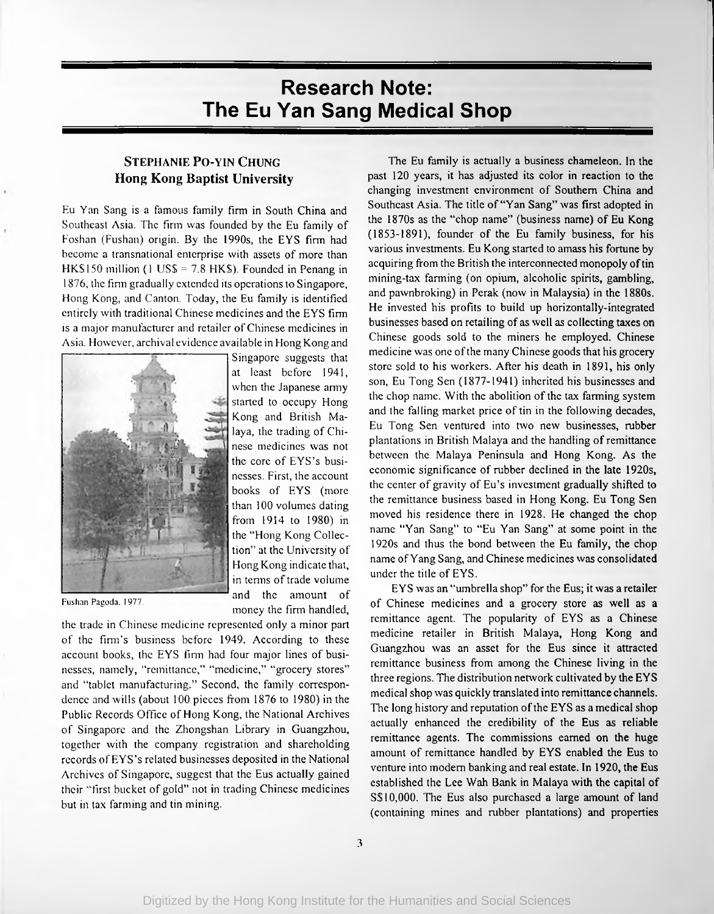## Research Note: The Eu Yan Sang Medical Shop

### **Stephanie Po-yin Chung Hong Kong Baptist University**

Eu Yan Sang is a famous family firm in South China and Southeast Asia. The firm was founded by the Eu family of Foshan (Fushan) origin. By the 1990s, the EYS firm had become a transnational enterprise with assets of more than HKS150 million (1 US\$ = 7.8 HK\$). Founded in Penang in 1876, the firm gradually extended its operations to Singapore, Hong Kong, and Canton. Today, the Eu family is identified entirely with traditional Chinese medicines and the EYS firm is a major manufacturer and retailer of Chinese medicines in Asia. However, archival evidence available in Hong Kong and



Singapore suggests that at least before 1941, when the Japanese army started to occupy Hong Kong and British Malaya, the trading of Chinese medicines was not the core of EYS's businesses. First, the account books of EYS (more than 100 volumes dating from 1914 to 1980) in the "Hong Kong Collection" at the University of Hong Kong indicate that, in terms of trade volume and the amount of money the firm handled,

Fushan Pagoda. 1977.

the trade in Chinese medicine represented only a minor part of the firm's business before 1949. According to these account books, the EYS firm had four major lines of businesses, namely, "remittance," "medicine," "grocery stores" and "tablet manufacturing." Second, the family correspondence and wills (about 100 pieces from 1876 to 1980) in the Public Records Office of Hong Kong, the National Archives of Singapore and the Zhongshan Library in Guangzhou, together with the company registration and shareholding records ofEYS's related businesses deposited in the National Archives of Singapore, suggest that the Eus actually gained their "first bucket of gold" not in trading Chinese medicines but in tax farming and tin mining.

The Eu family is actually a business chameleon. In the past 120 years, it has adjusted its color in reaction to the changing investment environment of Southern China and Southeast Asia. The title of "Yan Sang" was first adopted in the 1870s as the "chop name" (business name) of Eu Kong (1853-1891), founder of the Eu family business, for his various investments. Eu Kong started to amass his fortune by acquiring from the British the interconnected monopoly of tin mining-tax farming (on opium, alcoholic spirits, gambling, and pawnbroking) in Perak (now in Malaysia) in the 1880s. He invested his profits to build up horizontally-integrated businesses based on retailing of as well as collecting taxes on Chinese goods sold to the miners he employed. Chinese medicine was one of the many Chinese goods that his grocery store sold to his workers. After his death in 1891, his only son, Eu Tong Sen (1877-1941) inherited his businesses and the chop name. With the abolition of the tax farming system and the falling market price of tin in the following decades, Eu Tong Sen ventured into two new businesses, rubber plantations in British Malaya and the handling of remittance between the Malaya Peninsula and Hong Kong. As the economic significance of rubber declined in the late 1920s, the center of gravity of Eu's investment gradually shifted to the remittance business based in Hong Kong. Eu Tong Sen moved his residence there in 1928. He changed the chop name "Yan Sang" to "Eu Yan Sang" at some point in the 1920s and thus the bond between the Eu family, the chop name ofYang Sang, and Chinese medicines was consolidated under the title of EYS.

EYS was an "umbrella shop" for the Eus; it was a retailer of Chinese medicines and a grocery store as well as a remittance agent. The popularity of EYS as a Chinese medicine retailer in British Malaya, Hong Kong and Guangzhou was an asset for the Eus since it attracted remittance business from among the Chinese living in the three regions. The distribution network cultivated by the EYS medical shop was quickly translated into remittance channels. The long history and reputation of the EYS as a medical shop actually enhanced the credibility of the Eus as reliable remittance agents. The commissions earned on the huge amount of remittance handled by EYS enabled the Eus to venture into modem banking and real estate. In 1920, the Eus established the Lee Wah Bank in Malaya with the capital of S\$10,000. The Eus also purchased a large amount of land (containing mines and rubber plantations) and properties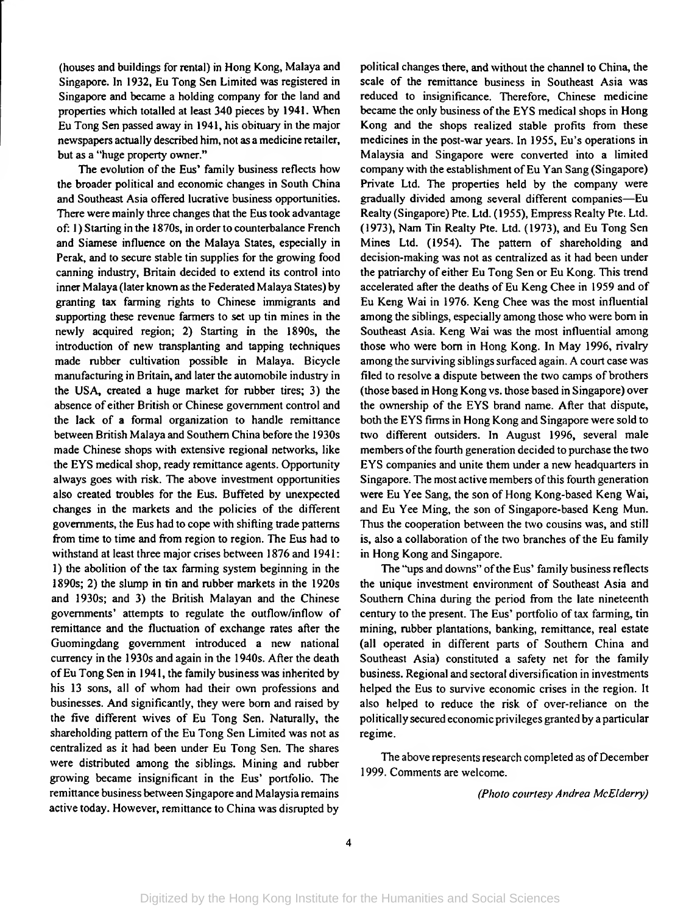(houses and buildings for rental) in Hong Kong, Malaya and Singapore. In 1932, Eu Tong Sen Limited was registered in Singapore and became a holding company for the land and properties which totalled at least 340 pieces by 1941. When Eu Tong Sen passed away in 1941, his obituary in the major newspapers actually described him, not as a medicine retailer, but as a "huge property owner."

The evolution of the Eus' family business reflects how the broader political and economic changes in South China and Southeast Asia offered lucrative business opportunities. There were mainly three changes that the Eus took advantage of: 1) Starting in the 1870s, in order to counterbalance French and Siamese influence on the Malaya States, especially in Perak, and to secure stable tin supplies for the growing food canning industry, Britain decided to extend its control into inner Malaya (later known as the Federated Malaya States) by granting tax farming rights to Chinese immigrants and supporting these revenue farmers to set up tin mines in the newly acquired region; 2) Starting in the 1890s, the introduction of new transplanting and tapping techniques made rubber cultivation possible in Malaya. Bicycle manufacturing in Britain, and later the automobile industry in the USA, created a huge market for rubber tires; 3) the absence of either British or Chinese government control and the lack of a formal organization to handle remittance between British Malaya and Southern China before the 1930s made Chinese shops with extensive regional networks, like the EYS medical shop, ready remittance agents. Opportunity always goes with risk. The above investment opportunities also created troubles for the Eus. Buffeted by unexpected changes in the markets and the policies of the different governments, the Eus had to cope with shifting trade patterns from time to time and from region to region. The Eus had to withstand at least three major crises between 1876 and 1941: 1) the abolition of the tax farming system beginning in the 1890s; 2) the slump in tin and rubber markets in the 1920s and 1930s; and 3) the British Malayan and the Chinese governments' attempts to regulate the outflow/inflow of remittance and the fluctuation of exchange rates after the Guomingdang government introduced a new national currency in the 1930s and again in the 1940s. After the death ofEu Tong Sen in 1941, the family business was inherited by his 13 sons, all of whom had their own professions and businesses. And significantly, they were bom and raised by the five different wives of Eu Tong Sen. Naturally, the shareholding pattern of the Eu Tong Sen Limited was not as centralized as it had been under Eu Tong Sen. The shares were distributed among the siblings. Mining and rubber growing became insignificant in the Eus' portfolio. The remittance business between Singapore and Malaysia remains active today. However, remittance to China was disrupted by

political changes there, and without the channel to China, the scale of the remittance business in Southeast Asia was reduced to insignificance. Therefore, Chinese medicine became the only business of the EYS medical shops in Hong Kong and the shops realized stable profits from these medicines in the post-war years. In 1955, Eu's operations in Malaysia and Singapore were converted into a limited company with the establishment of Eu Yan Sang (Singapore) Private Ltd. The properties held by the company were gradually divided among several different companies—Eu Realty (Singapore) Pte. Ltd. (1955), Empress Realty Pte. Ltd. (1973), Nam Tin Realty Pte. Ltd. (1973), and Eu Tong Sen Mines Ltd. (1954). The pattern of shareholding and decision-making was not as centralized as it had been under the patriarchy of either Eu Tong Sen or Eu Kong. This trend accelerated after the deaths of Eu Keng Chee in 1959 and of Eu Keng Wai in 1976. Keng Chee was the most influential among the siblings, especially among those who were bom in Southeast Asia. Keng Wai was the most influential among those who were bom in Hong Kong. In May 1996, rivalry among the surviving siblings surfaced again. A court case was filed to resolve a dispute between the two camps of brothers (those based in Hong Kong vs. those based in Singapore) over the ownership of the EYS brand name. After that dispute, both the EYS firms in Hong Kong and Singapore were sold to two different outsiders. In August 1996, several male members of the fourth generation decided to purchase the two EYS companies and unite them under a new headquarters in Singapore. The most active members of this fourth generation were Eu Yee Sang, the son of Hong Kong-based Keng Wai, and Eu Yee Ming, the son of Singapore-based Keng Mun. Thus the cooperation between the two cousins was, and still is, also a collaboration of the two branches of the Eu family in Hong Kong and Singapore.

The "ups and downs" of the Eus' family business reflects the unique investment environment of Southeast Asia and Southern China during the period from the late nineteenth century to the present. The Eus' portfolio oftax farming, tin mining, rubber plantations, banking, remittance, real estate (all operated in different parts of Southern China and Southeast Asia) constituted a safety net for the family business. Regional and sectoral diversification in investments helped the Eus to survive economic crises in the region. It also helped to reduce the risk of over-reliance on the politically secured economic privileges granted by a particular regime.

The above represents research completed as of December 1999. Comments are welcome.

*(Photo courtesy Andrea McEIderry)*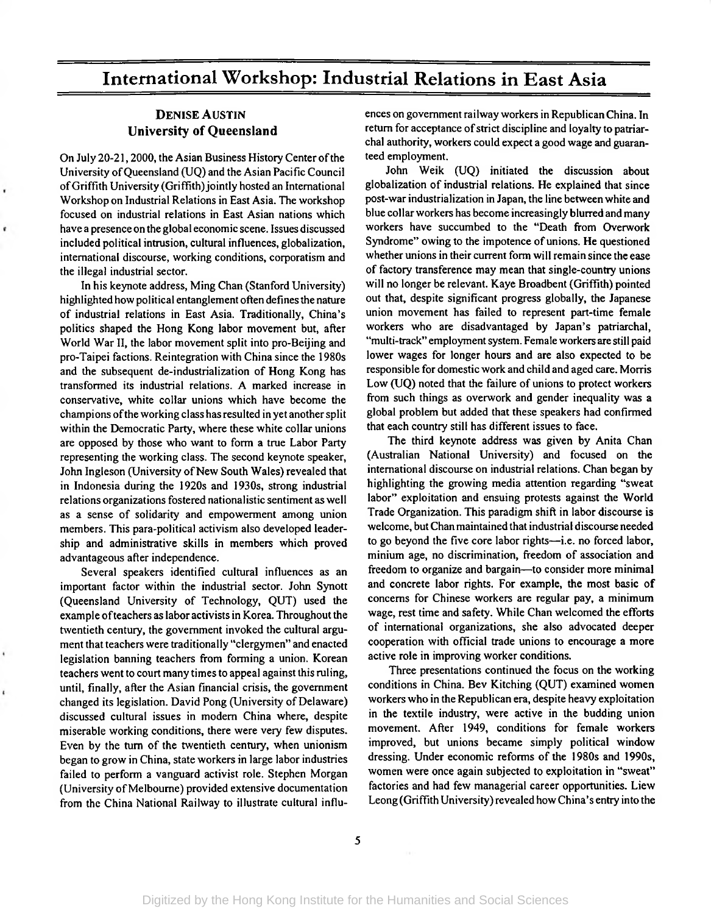## International Workshop: Industrial Relations in East Asia

### Denise Austin University of Queensland

On July 20-21, 2000, the Asian Business History Center of the University of Queensland (UQ) and the Asian Pacific Council of Griffith University (Griffith) jointly hosted an International Workshop on Industrial Relations in East Asia. The workshop focused on industrial relations in East Asian nations which have a presence on the global economic scene. Issues discussed included political intrusion, cultural influences, globalization, international discourse, working conditions, corporatism and the illegal industrial sector.

In his keynote address, Ming Chan (Stanford University) highlighted how political entanglement often defines the nature of industrial relations in East Asia. Traditionally, China's politics shaped the Hong Kong labor movement but, after World War II, the labor movement split into pro-Beijing and pro-Taipei factions. Reintegration with China since the 1980s and the subsequent de-industrialization of Hong Kong has transformed its industrial relations. A marked increase in conservative, white collar unions which have become the champions of the working class has resulted in yet another split within the Democratic Party, where these white collar unions are opposed by those who want to form a true Labor Party representing the working class. The second keynote speaker, John Ingleson (University of New South Wales) revealed that in Indonesia during the 1920s and 1930s, strong industrial relations organizations fostered nationalistic sentiment as well as a sense of solidarity and empowerment among union members. This para-political activism also developed leadership and administrative skills in members which proved advantageous after independence.

Several speakers identified cultural influences as an important factor within the industrial sector. John Synott (Queensland University of Technology, QUT) used the example of teachers as labor activists in Korea. Throughout the twentieth century, the government invoked the cultural argument that teachers were traditionally "clergymen" and enacted legislation banning teachers from forming a union. Korean teachers went to court many times to appeal against this ruling, until, finally, after the Asian financial crisis, the government changed its legislation. David Pong (University of Delaware) discussed cultural issues in modem China where, despite miserable working conditions, there were very few disputes. Even by the turn of the twentieth century, when unionism began to grow in China, state workers in large labor industries failed to perform a vanguard activist role. Stephen Morgan (University of Melbourne) provided extensive documentation from the China National Railway to illustrate cultural influences on government railway workers in RepublicanChina. In return for acceptance of strict discipline and loyalty to patriarchal authority, workers could expect a good wage and guaranteed employment.

John Weik (UQ) initiated the discussion about globalization of industrial relations. He explained that since post-war industrialization in Japan, the line between white and blue collar workers has become increasingly blurred and many workers have succumbed to the "Death from Overwork Syndrome" owing to the impotence of unions. He questioned whether unions in their current form will remain since the ease of factory transference may mean that single-country unions will no longer be relevant. Kaye Broadbent (Griffith) pointed out that, despite significant progress globally, the Japanese union movement has failed to represent part-time female workers who are disadvantaged by Japan's patriarchal, "multi-track" employment system. Female workers are still paid lower wages for longer hours and are also expected to be responsible for domestic work and child and aged care. Morris Low (UQ) noted that the failure of unions to protect workers from such things as overwork and gender inequality was a global problem but added that these speakers had confirmed that each country still has different issues to face.

The third keynote address was given by Anita Chan (Australian National University) and focused on the international discourse on industrial relations. Chan began by highlighting the growing media attention regarding "sweat labor" exploitation and ensuing protests against the World Trade Organization. This paradigm shift in labor discourse is welcome, but Chan maintained that industrial discourse needed to go beyond the five core labor rights—i.e. no forced labor, minium age, no discrimination, freedom of association and freedom to organize and bargain—to consider more minimal and concrete labor rights. For example, the most basic of concerns for Chinese workers are regular pay, a minimum wage, rest time and safety. While Chan welcomed the efforts of international organizations, she also advocated deeper cooperation with official trade unions to encourage a more active role in improving worker conditions.

Three presentations continued the focus on the working conditions in China. Bev Kitching (QUT) examined women workers who in the Republican era, despite heavy exploitation in the textile industry, were active in the budding union movement. After 1949, conditions for female workers improved, but unions became simply political window dressing. Under economic reforms of the 1980s and 1990s, women were once again subjected to exploitation in "sweat" factories and had few managerial career opportunities. Liew Leong (Griffith University) revealed how China's entry into the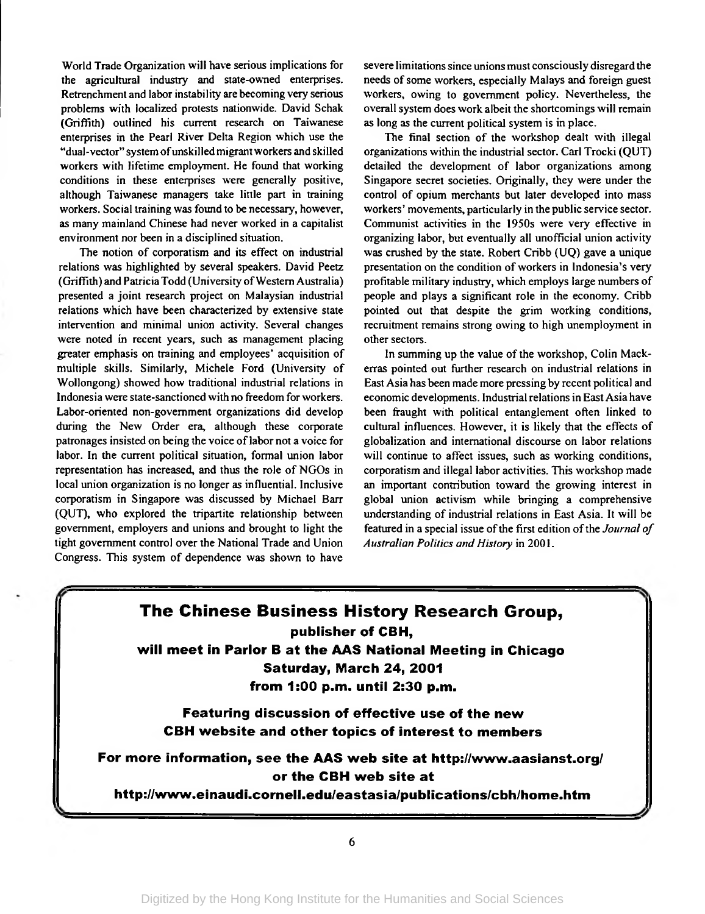World Trade Organization will have serious implications for the agricultural industry and state-owned enterprises. Retrenchment and labor instability are becoming very serious problems with localized protests nationwide. David Schak (Griffith) outlined his current research on Taiwanese enterprises in the Pearl River Delta Region which use the "dual-vector" system ofunskilled migrant workers and skilled workers with lifetime employment. He found that working conditions in these enterprises were generally positive, although Taiwanese managers take little part in training workers. Social training was found to be necessary, however, as many mainland Chinese had never worked in a capitalist environment nor been in a disciplined situation.

The notion of corporatism and its effect on industrial relations was highlighted by several speakers. David Peetz (Griffith) and Patricia Todd (University of Western Australia) presented a joint research project on Malaysian industrial relations which have been characterized by extensive state intervention and minimal union activity. Several changes were noted in recent years, such as management placing greater emphasis on training and employees' acquisition of multiple skills. Similarly, Michele Ford (University of Wollongong) showed how traditional industrial relations in Indonesia were state-sanctioned with no freedom for workers. Labor-oriented non-govemment organizations did develop during the New Order era, although these corporate patronages insisted on being the voice of labor not a voice for labor. In the current political situation, formal union labor representation has increased, and thus the role of NGOs in local union organization is no longer as influential. Inclusive corporatism in Singapore was discussed by Michael Barr (QUT), who explored the tripartite relationship between government, employers and unions and brought to light the tight government control over the National Trade and Union Congress. This system of dependence was shown to have

severe limitations since unions must consciously disregard the needs of some workers, especially Malays and foreign guest workers, owing to government policy. Nevertheless, the overall system does work albeit the shortcomings will remain as long as the current political system is in place.

The final section of the workshop dealt with illegal organizations within the industrial sector. Carl Trocki (QUT) detailed the development of labor organizations among Singapore secret societies. Originally, they were under the control of opium merchants but later developed into mass workers' movements, particularly in the public service sector. Communist activities in the 1950s were very effective in organizing labor, but eventually all unofficial union activity was crushed by the state. Robert Cribb (UQ) gave a unique presentation on the condition of workers in Indonesia's very profitable military industry, which employs large numbers of people and plays a significant role in the economy. Cribb pointed out that despite the grim working conditions, recruitment remains strong owing to high unemployment in other sectors.

In summing up the value of the workshop, Colin Mackerras pointed out further research on industrial relations in East Asia has been made more pressing by recent political and economic developments. Industrial relations in East Asia have been fraught with political entanglement often linked to cultural influences. However, it is likely that the effects of globalization and international discourse on labor relations will continue to affect issues, such as working conditions, corporatism and illegal labor activities. This workshop made an important contribution toward the growing interest in global union activism while bringing a comprehensive understanding of industrial relations in East Asia. It will be featured in a special issue of the first edition of the *Journal of Australian Politics and History* in 2001.

## **The Chinese Business History Research Group, publisher of CBH, will meet in Parlor B at the AAS National Meeting in Chicago Saturday, March 24, 2001 from 1:00 p.m. until 2:30 p.m. Featuring discussion of effective use of the new CBH website and other topics of interest to members For more information, see the AAS web site at <http://www.aasianst.org/> or the CBH web site at**

**<http://www.einaudi.cornell.edu/eastasia/publications/cbh/home.htm>**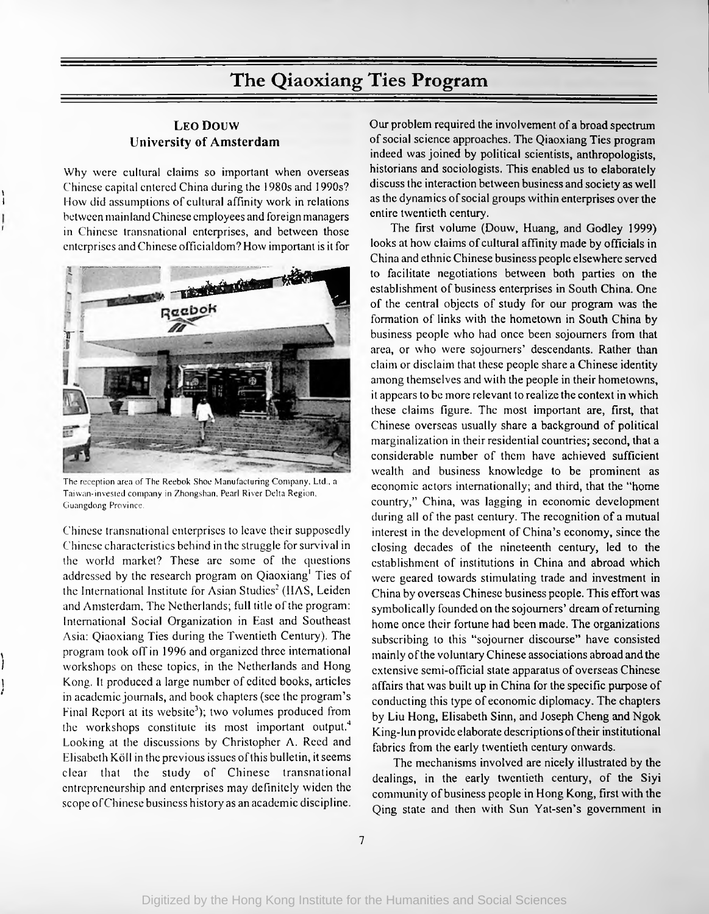## The Qiaoxiang Ties Program

### **Leo Douw University of Amsterdam**

Why were cultural claims so important when overseas Chinese capital entered China during the 1980s and 1990s? How did assumptions of cultural affinity work in relations between mainland Chinese employees and foreign managers in Chinese transnational enterprises, and between those enterprises and Chinese officialdom? How important is it for

**\** I

**f**

*\ I*

**>\***



The reception area of The Reebok Shoe Manufacturing Company. Ltd., a Taiwan-invested company in Zhongshan. Pearl River Delta Region. Guangdong Province.

Chinese transnational enterprises to leave their supposedly Chinese characteristics behind in the struggle forsurvival in the world market? These are some of the questions addressed by the research program on Qiaoxiang<sup>1</sup> Ties of the International Institute for Asian Studies<sup>2</sup> (IIAS, Leiden and Amsterdam, The Netherlands; full title of the program: International Social Organization in East and Southeast Asia: Qiaoxiang Ties during the Twentieth Century). The program took off in 1996 and organized three international workshops on these topics, in the Netherlands and Hong Kong. It produced a large number of edited books, articles in academic journals, and book chapters (see the program's Final Report at its website<sup>3</sup>); two volumes produced from the workshops constitute its most important output.4 Looking at the discussions by Christopher A. Reed and Elisabeth Koll in the previous issues ofthis bulletin, it seems clear that the study of Chinese transnational entrepreneurship and enterprises may definitely widen the scope ofChinese business history as an academic discipline. Our problem required the involvement of a broad spectrum of social science approaches. The Qiaoxiang Ties program indeed was joined by political scientists, anthropologists, historians and sociologists. This enabled us to elaborately discuss the interaction between business and society as well as the dynamics of social groups within enterprises over the entire twentieth century.

The first volume (Douw, Huang, and Godley 1999) looks at how claims of cultural affinity made by officials in China and ethnic Chinese business people elsewhere served to facilitate negotiations between both parties on the establishment of business enterprises in South China. One of the central objects of study for our program was the formation of links with the hometown in South China by business people who had once been sojourners from that area, or who were sojourners' descendants. Rather than claim or disclaim that these people share a Chinese identity among themselves and with the people in their hometowns, it appears to be more relevant to realize the context in which these claims figure. The most important are, first, that Chinese overseas usually share a background of political marginalization in their residential countries; second, that a considerable number of them have achieved sufficient wealth and business knowledge to be prominent as economic actors internationally; and third, that the "home country," China, was lagging in economic development during all of the past century. The recognition of a mutual interest in the development of China's economy, since the closing decades of the nineteenth century, led to the establishment of institutions in China and abroad which were geared towards stimulating trade and investment in China by overseas Chinese business people. This effort was symbolically founded on the sojourners' dream of returning home once their fortune had been made. The organizations subscribing to this "sojourner discourse" have consisted mainly ofthe voluntary Chinese associations abroad and the extensive semi-official state apparatus of overseas Chinese affairs that was built up in China for the specific purpose of conducting this type of economic diplomacy. The chapters by Liu Hong, Elisabeth Sinn, and Joseph Cheng and Ngok King-lun provide elaborate descriptions oftheir institutional fabrics from the early twentieth century onwards.

The mechanisms involved are nicely illustrated by the dealings, in the early twentieth century, of the Siyi community of business people in Hong Kong, first with the Qing state and then with Sun Yat-sen's government in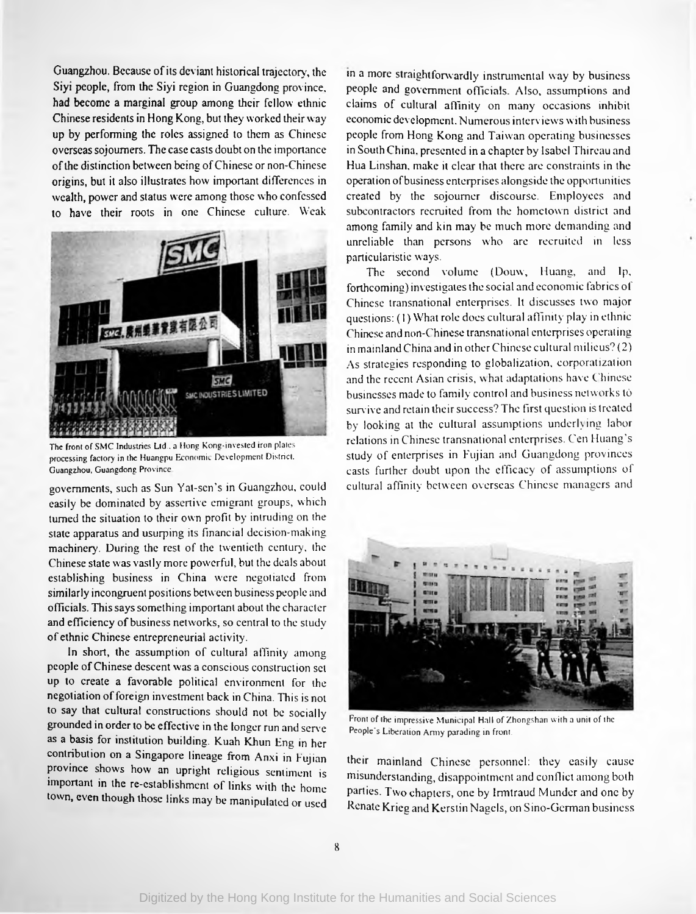Guangzhou. Because ofits deviant historical trajectory, the Siyi people, from the Siyi region in Guangdong province, had become a marginal group among their fellow ethnic Chinese residents in Hong Kong, but they worked their way up by performing the roles assigned to them as Chinese overseassojourners. The case casts doubt on the importance ofthe distinction between being ofChinese or non-Chinese origins, but it also illustrates how important differences in wealth, power and status were among those who confessed to have their roots in one Chinese culture. Weak



The **front of** SMC **Industries** Ltd . a Hong Kong-invested iron plates processing factory in the Huangpu Economic Development District. Guangzhou. Guangdong Province

governments, such as Sun Yat-scn's in Guangzhou, could easily be dominated by assertive emigrant groups, which turned the situation to their own profit by intruding on the state apparatus and usurping its financial decision-making machinery. During the rest of the twentieth century, the Chinese state was vastly more powerful, but the deals about establishing business in China were negotiated from similarly incongruent positions between business people and officials. Thissayssomething important about the character and efficiency of business networks, so central to the study of ethnic Chinese entrepreneurial activity.

In short, the assumption of cultural affinity among people ofChinese descent was a conscious construction set up to create a favorable political environment for the negotiation of foreign investment back in China. This is not to say that cultural constructions should not be socially grounded in order to be effective in the longer run and serve as a basis for institution building. Kuah Khun Eng in her contribution on a Singapore lineage from Anxi in Fujian province shows how an upright religious sentiment is important in the re-establishment of links with the home town, even though those links may be manipulated or used

in a more straightforwardly instrumental way by business people and government officials. Also, assumptions and claims of cultural affinity on many occasions inhibit economic development. Numerous interviews with business people from Hong Kong and Taiwan operating businesses in South China, presented in a chapter by Isabel Thireau and Hua Linshan, make it clear that there are constraints in the operation ofbusiness enterprises alongside the opportunities created by the sojourner discourse. Employees and subcontractors recruited from the hometown district and among family and kin may be much more demanding and unreliable than persons who are recruited in less particularistic ways.

The second volume (Douw, Huang, and Ip, forthcoming) investigatesthe social and economic fabrics of Chinese transnational enterprises. It discusses two major questions: (1) What role does cultural affinity play in ethnic Chinese and non-Chinese transnational enterprises operating in mainland China and in other Chinese cultural milieus? (2) As strategies responding to globalization, corporatization and the recent Asian crisis, what adaptations have Chinese businesses made to family control and business networks to survive and retain their success? The first question is treated by looking at the cultural assumptions underlying labor relations in Chinese transnational enterprises. Cen Huang's study of enterprises in Fujian and Guangdong provinces casts further doubt upon the efficacy of assumptions of cultural affinity between overseas Chinese managers and



Front of the impressive Municipal Hall of Zhongshan with a unit of the People's Liberation Army parading in front.

their mainland Chinese personnel: they easily cause misunderstanding, disappointment and conflict among both parties. Two chapters, one by Irmtraud Munder and one by Renate Krieg and Kerstin Nagels, on Sino-Gennan business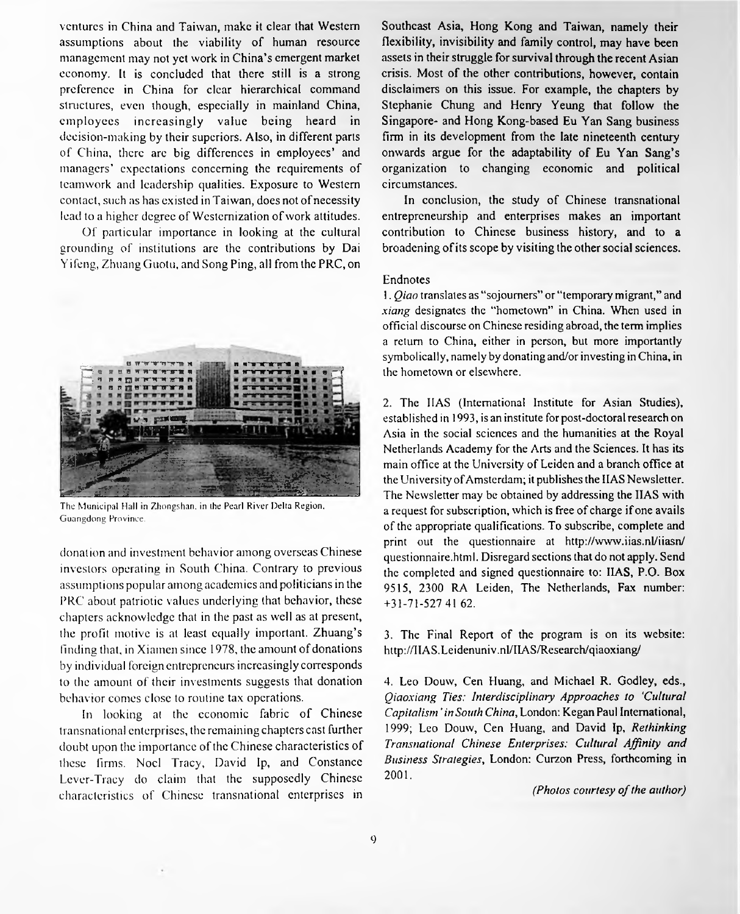ventures in China and Taiwan, make it clear that Western assumptions about the viability of human resource management may not yet work in China's emergent market economy. It is concluded that there still is a strong preference in China for clear hierarchical command structures, even though, especially in mainland China, employees increasingly value being heard in decision-making by their superiors. Also, in different parts of China, there are big differences in employees' and managers' expectations concerning the requirements of teamwork and leadership qualities. Exposure to Western contact, such as has existed in Taiwan, does not of necessity lead to a higher degree of Westernization of work attitudes.

Of particular importance in looking at the cultural grounding of institutions are the contributions by Dai Yifeng, Zhuang Guotu, and Song Ping, all from the PRC, on



The Municipal Hall in Zhongshan, in the Pearl River Delta Region. Guangdong Province.

donation and investment behavior among overseas Chinese investors operating in South China. Contrary to previous assumptions popular among academics and politicians in the PRC about patriotic values underlying that behavior, these chapters acknowledge that in the past as well as at present, the profit motive is at least equally important. Zhuang's finding that, in Xiamen since 1978, the amount of donations by individual foreign entrepreneurs increasingly corresponds to the amount of their investments suggests that donation behavior comes close to routine tax operations.

In looking at the economic fabric of Chinese transnational enterprises, the remaining chapters cast further doubt upon the importance of the Chinese characteristics of these firms. Noel Tracy, David Ip, and Constance Lever-Tracy do claim that the supposedly Chinese characteristics of Chinese transnational enterprises in Southeast Asia, Hong Kong and Taiwan, namely their flexibility, invisibility and family control, may have been assets in their struggle for survival through the recent Asian crisis. Most of the other contributions, however, contain disclaimers on this issue. For example, the chapters by Stephanie Chung and Henry Yeung that follow the Singapore- and Hong Kong-based Eu Yan Sang business firm in its development from the late nineteenth century onwards argue for the adaptability of Eu Yan Sang's organization to changing economic and political circumstances.

In conclusion, the study of Chinese transnational entrepreneurship and enterprises makes an important contribution to Chinese business history, and to a broadening of its scope by visiting the other social sciences.

#### Endnotes

1. *Qiao* translates as "sojourners" or "temporary migrant," and *xiang* designates the "hometown" in China. When used in official discourse on Chinese residing abroad, the term implies a return to China, either in person, but more importantly symbolically, namely by donating and/or investing in China, in the hometown or elsewhere.

2. The HAS (International Institute for Asian Studies), established in 1993, is an institute for post-doctoral research on Asia in the social sciences and the humanities at the Royal Netherlands Academy for the Arts and the Sciences. It has its main office at the University of Leiden and a branch office at the University ofAmsterdam; it publishes the HAS Newsletter. The Newsletter may be obtained by addressing the HAS with a request for subscription, which is free of charge if one avails of the appropriate qualifications. To subscribe, complete and print out the questionnaire at <http://www.iias.nl/iiasn/> questionnaire.html. Disregard sections that do not apply. Send the completed and signed questionnaire to: ILAS, P.O. Box 9515, 2300 RA Leiden, The Netherlands, Fax number: +31-71-527 41 62.

3. The Final Report of the program is on its website: <http://IIAS.Leidenuniv.nl/IIAS/Research/qiaoxiang/>

4. Leo Douw, Cen Huang, and Michael R. Godley, eds., *Qiaoxiang Ties: Interdisciplinary Approaches to* '*Cultural Capitalism* ' *in South China*, London: Kegan Paul International, 1999; Leo Douw, Cen Huang, and David Ip, *Rethinking Transnational Chinese Enterprises: Cultural Affinity and Business Strategies*, London: Curzon Press, forthcoming in 2001.

*(Photos courtesy of the author)*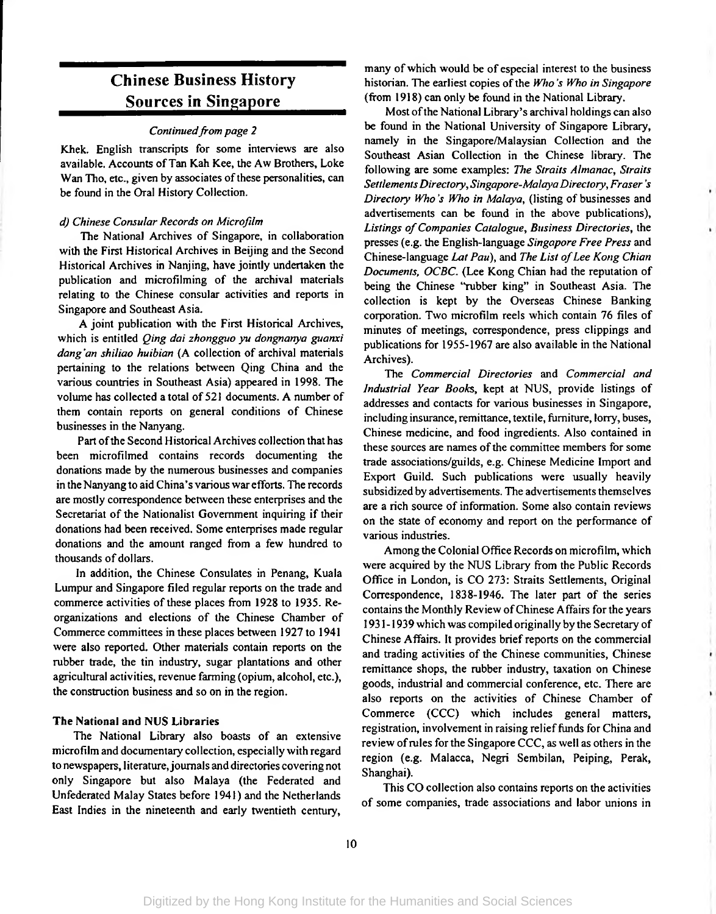### Chinese Business History Sources in Singapore

#### *Continuedfrom page 2*

Khek. English transcripts for some interviews are also available. Accounts of Tan Kah Kee, the Aw Brothers, Loke Wan Tho, etc., given by associates of these personalities, can be found in the Oral History Collection.

#### *d) Chinese Consular Records on Microfilm*

The National Archives of Singapore, in collaboration with the First Historical Archives in Beijing and the Second Historical Archives in Nanjing, have jointly undertaken the publication and microfilming of the archival materials relating to the Chinese consular activities and reports in Singapore and Southeast Asia.

A joint publication with the First Historical Archives, which is entitled *Qing dai zhongguo yu dongnanya guanxi dang'an shiliao huibicm* (A collection of archival materials pertaining to the relations between Qing China and the various countries in Southeast Asia) appeared in 1998. The volume has collected a total of 521 documents. A number of them contain reports on general conditions of Chinese businesses in the Nanyang.

Part of the Second Historical Archives collection that has been microfilmed contains records documenting the donations made by the numerous businesses and companies in the Nanyang to aid China's various war efforts. The records are mostly correspondence between these enterprises and the Secretariat of the Nationalist Government inquiring if their donations had been received. Some enterprises made regular donations and the amount ranged from a few hundred to thousands of dollars.

In addition, the Chinese Consulates in Penang, Kuala Lumpur and Singapore filed regular reports on the trade and commerce activities of these places from 1928 to 1935. Reorganizations and elections of the Chinese Chamber of Commerce committees in these places between 1927 to 1941 were also reported. Other materials contain reports on the rubber trade, the tin industry, sugar plantations and other agricultural activities, revenue farming (opium, alcohol, etc.), the construction business and so on in the region.

#### **The National and** NUS **Libraries**

The National Library also boasts of an extensive microfilm and documentary collection, especially with regard to newspapers, literature,journals and directories covering not only Singapore but also Malaya (the Federated and Unfederated Malay States before 1941) and the Netherlands East Indies in the nineteenth and early twentieth century,

many of which would be of especial interest to the business historian. The earliest copies ofthe *Who 's Who in Singapore* (from 1918) can only be found in the National Library.

Most of the National Library's archival holdings can also be found in the National University of Singapore Library, namely in the Singapore/Malaysian Collection and the Southeast Asian Collection in the Chinese library. The following are some examples: *The Straits Almanac*, *Straits SettlementsDirectory*, *Singapore-MalaysDirectory, Fraser's Directory Who's Who in Malaya*, (listing of businesses and advertisements can be found in the above publications), *Listings ofCompanies Catalogue*, *Business Directories*, the presses (e.g. the English-language *Singapore Free Press* and Chinese-language *Lat Pau*), and *The List ofLee Kong Chian Documents, OCBC.* (Lee Kong Chian had the reputation of being the Chinese "rubber king" in Southeast Asia. The collection is kept by the Overseas Chinese Banking corporation. Two microfilm reels which contain 76 files of minutes of meetings, correspondence, press clippings and publications for 1955-1967 are also available in the National Archives).

The *Commercial Directories* and *Commercial and Industrial Year Books*, kept at NUS, provide listings of addresses and contacts for various businesses in Singapore, including insurance, remittance, textile, furniture, lorry, buses, Chinese medicine, and food ingredients. Also contained in these sources are names of the committee members for some trade associations/guilds, e.g. Chinese Medicine Import and Export Guild. Such publications were usually heavily subsidized by advertisements. The advertisements themselves are a rich source of information. Some also contain reviews on the state of economy and report on the performance of various industries.

Among the Colonial Office Records on microfilm, which were acquired by the NUS Library from the Public Records Office in London, is CO 273: Straits Settlements, Original Correspondence, 1838-1946. The later part of the series contains the Monthly Review ofChinese Affairs for the years 1931-1939 which was compiled originally by the Secretary of Chinese Affairs. It provides brief reports on the commercial and trading activities of the Chinese communities, Chinese remittance shops, the rubber industry, taxation on Chinese goods, industrial and commercial conference, etc. There are also reports on the activities of Chinese Chamber of Commerce (CCC) which includes general matters, registration, involvement in raising relief funds for China and review of rules for the Singapore CCC, as well as others in the region (e.g. Malacca, Negri Sembilan, Peiping, Perak, Shanghai).

This CO collection also contains reports on the activities of some companies, trade associations and labor unions in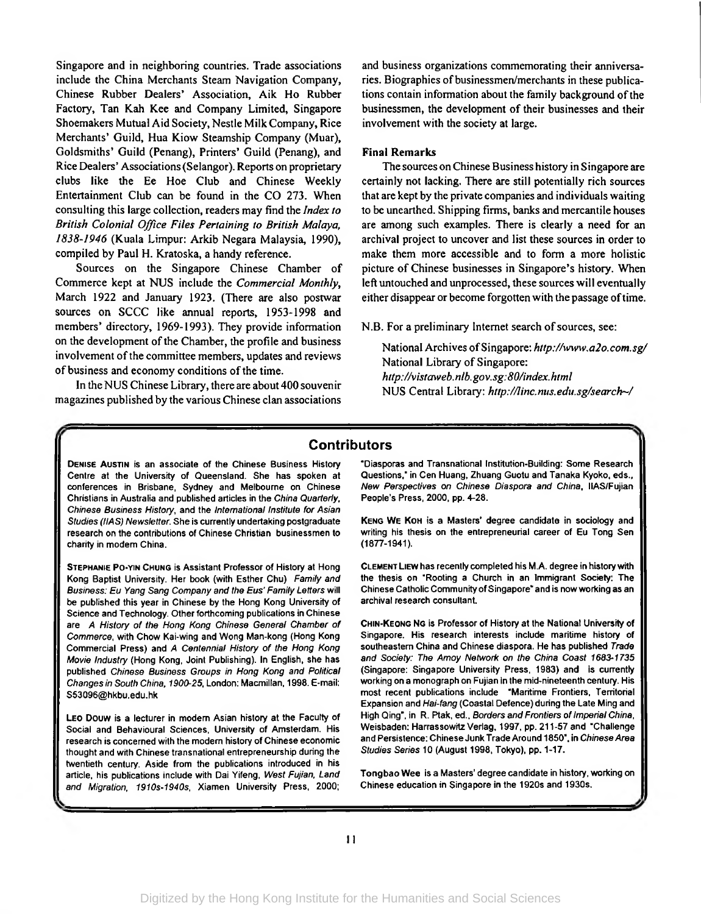Singapore and in neighboring countries. Trade associations include the China Merchants Steam Navigation Company, Chinese Rubber Dealers\* Association, Aik Ho Rubber Factory, Tan Kah Kee and Company Limited, Singapore Shoemakers Mutual Aid Society, Nestle Milk Company, Rice Merchants' Guild, Hua Kiow Steamship Company (Muar), Goldsmiths' Guild (Penang), Printers' Guild (Penang), and Rice Dealers' Associations(Selangor). Reports on proprietary clubs like the Ee Hoe Club and Chinese Weekly Entertainment Club can be found in the CO 273. When consulting this large collection, readers may find the *Index to British Colonial Office Files Pertaining to British Malaya, 1838-1946* (Kuala Limpur: Arkib Negara Malaysia, 1990), compiled by Paul H. Kratoska, a handy reference.

Sources on the Singapore Chinese Chamber of Commerce kept at NUS include the *Commercial Monthly*, March 1922 and January 1923. (There are also postwar sources on SCCC like annual reports, 1953-1998 and members' directory, 1969-1993). They provide information on the development of the Chamber, the profile and business involvement of the committee members, updates and reviews of business and economy conditions of the time.

In the NUS Chinese Library, there are about 400 souvenir magazines published by the various Chinese clan associations

and business organizations commemorating their anniversaries. Biographies of businessmen/merchants in these publications contain information about the family background of the businessmen, the development of their businesses and their involvement with the society at large.

#### **Final Remarks**

The sources on Chinese Business history in Singapore are certainly not lacking. There are still potentially rich sources that are kept by the private companies and individuals waiting to be unearthed. Shipping firms, banks and mercantile houses are among such examples. There is clearly a need for an archival project to uncover and list these sources in order to make them more accessible and to form a more holistic picture of Chinese businesses in Singapore's history. When left untouched and unprocessed, these sources will eventually either disappear or become forgotten with the passage of time.

N.B. For a preliminary Internet search of sources, see:

National Archives ofSingapore: *<http://www.a2o.com.sg/>* National Library of Singapore: *<http://vistaweb>. nib.gov.sg:80/index.html* NUS Central Library: *<http://linc.nus.edu.sg/search~/>*

#### **Contributors**

Denise Austin is an associate of the Chinese Business History Centre at the University of Queensland. She has spoken at conferences in Brisbane, Sydney and Melbourne on Chinese Christians in Australia and published articles in the *China Quarterly, Chinese Business History,* and the *International Institute for Asian Studies (HAS) Newsletter.* She is currently undertaking postgraduate research on the contributions of Chinese Christian businessmen to charity in modem China.

Stephanie Po-yin Chung is Assistant Professor of History at Hong Kong Baptist University. Her book (with Esther Chu) *Family and Business: Eu Yang Sang Company and the Eus' Family Letters* will be published this year in Chinese by the Hong Kong University of Science and Technology. Other forthcoming publications in Chinese are *A History of the Hong Kong Chinese General Chamber of Commerce,* with Chow Kai-wing and Wong Man-kong (Hong Kong Commercial Press) and *A Centennial History of the Hong Kong Movie Industry* (Hong Kong, Joint Publishing). In English, she has published *Chinese Business Groups in Hong Kong and Political Changes in South China, 1900-25,* London: Macmillan, 1998. E-mail: [S53096@hkbu.edu.hk](mailto:S53096@hkbu.edu.hk)

Leo Douw is a lecturer in modem Asian history at the Faculty of Social and Behavioural Sciences, University of Amsterdam. His research is concerned with the modern history of Chinese economic thought and with Chinese transnational entrepreneurship during the twentieth century. Aside from the publications introduced in his article, his publications include with Dai Yifeng, *West Fujian, Land and Migration, 1910s-1940s,* Xiamen University Press, 2000;

"Diasporas and Transnational Institution-Building: Some Research Questions," in Cen Huang, Zhuang Guotu and Tanaka Kyoko, eds., *New Perspectives on Chinese Diaspora and China,* IIAS/Fujian People's Press, 2000, pp. 4-28.

Keng W<sup>e</sup> Koh is a Masters' degree candidate in sociology and writing his thesis on the entrepreneurial career of Eu Tong Sen (1877-1941).

Clement Liew has recently completed his M.A. degree in historywith the thesis on "Rooting a Church in an Immigrant Society: The Chinese Catholic Community of Singapore" and is now working as an archival research consultant.

Chin-Keong Ng is Professor of History at the National University of Singapore. His research interests include maritime history of southeastern China and Chinese diaspora. He has published *Trade and Society: The Amoy Network on the China Coast 1683-1735* (Singapore: Singapore University Press, 1983) and is currently working on a monograph on Fujian in the mid-nineteenth century. His most recent publications include "Maritime Frontiers, Territorial Expansion and *Hai-fang* (Coastal Defence) during the Late Ming and High Qing", in R. Ptak, ed., *Borders and Frontiers of Imperial China*, Weisbaden: Harrassowitz Verlag, 1997, pp. 211-57 and "Challenge and Persistence: Chinese Junk Trade Around 1850", in *ChineseArea Studies Series* 10 (August 1998, Tokyo), pp. 1-17.

Tongbao Wee is a Masters' degree candidate in history, working on Chinese education in Singapore in the 1920s and 1930s.